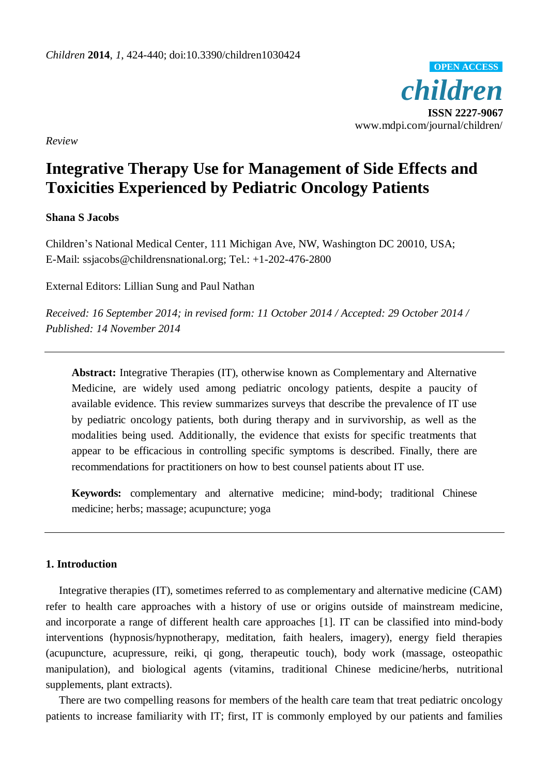*children* **ISSN 2227-9067** www.mdpi.com/journal/children/ **OPEN ACCESS**

*Review*

# **Integrative Therapy Use for Management of Side Effects and Toxicities Experienced by Pediatric Oncology Patients**

# **Shana S Jacobs**

Children's National Medical Center, 111 Michigan Ave, NW, Washington DC 20010, USA; E-Mail: ssjacobs@childrensnational.org; Tel.: +1-202-476-2800

External Editors: Lillian Sung and Paul Nathan

*Received: 16 September 2014; in revised form: 11 October 2014 / Accepted: 29 October 2014 / Published: 14 November 2014*

**Abstract:** Integrative Therapies (IT), otherwise known as Complementary and Alternative Medicine, are widely used among pediatric oncology patients, despite a paucity of available evidence. This review summarizes surveys that describe the prevalence of IT use by pediatric oncology patients, both during therapy and in survivorship, as well as the modalities being used. Additionally, the evidence that exists for specific treatments that appear to be efficacious in controlling specific symptoms is described. Finally, there are recommendations for practitioners on how to best counsel patients about IT use.

**Keywords:** complementary and alternative medicine; mind-body; traditional Chinese medicine; herbs; massage; acupuncture; yoga

# **1. Introduction**

Integrative therapies (IT), sometimes referred to as complementary and alternative medicine (CAM) refer to health care approaches with a history of use or origins outside of mainstream medicine, and incorporate a range of different health care approaches [1]. IT can be classified into mind-body interventions (hypnosis/hypnotherapy, meditation, faith healers, imagery), energy field therapies (acupuncture, acupressure, reiki, qi gong, therapeutic touch), body work (massage, osteopathic manipulation), and biological agents (vitamins, traditional Chinese medicine/herbs, nutritional supplements, plant extracts).

There are two compelling reasons for members of the health care team that treat pediatric oncology patients to increase familiarity with IT; first, IT is commonly employed by our patients and families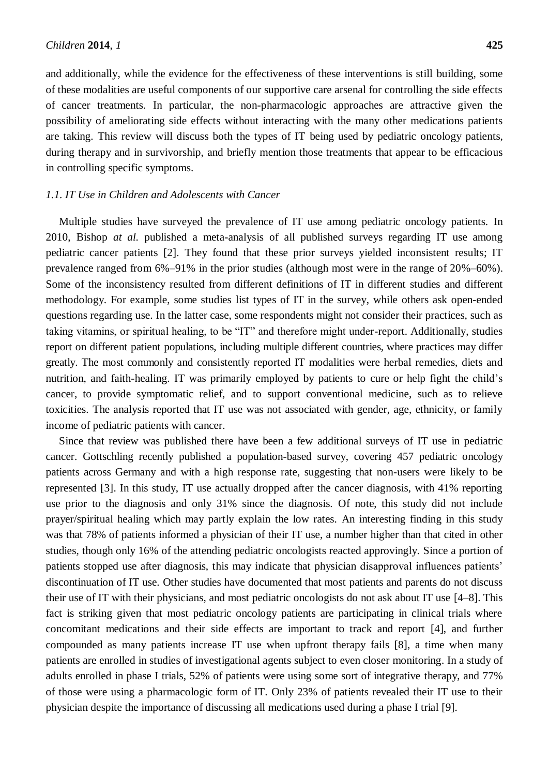and additionally, while the evidence for the effectiveness of these interventions is still building, some of these modalities are useful components of our supportive care arsenal for controlling the side effects of cancer treatments. In particular, the non-pharmacologic approaches are attractive given the possibility of ameliorating side effects without interacting with the many other medications patients are taking. This review will discuss both the types of IT being used by pediatric oncology patients, during therapy and in survivorship, and briefly mention those treatments that appear to be efficacious in controlling specific symptoms.

#### *1.1. IT Use in Children and Adolescents with Cancer*

Multiple studies have surveyed the prevalence of IT use among pediatric oncology patients. In 2010, Bishop *at al.* published a meta-analysis of all published surveys regarding IT use among pediatric cancer patients [2]. They found that these prior surveys yielded inconsistent results; IT prevalence ranged from 6%–91% in the prior studies (although most were in the range of 20%–60%). Some of the inconsistency resulted from different definitions of IT in different studies and different methodology. For example, some studies list types of IT in the survey, while others ask open-ended questions regarding use. In the latter case, some respondents might not consider their practices, such as taking vitamins, or spiritual healing, to be "IT" and therefore might under-report. Additionally, studies report on different patient populations, including multiple different countries, where practices may differ greatly. The most commonly and consistently reported IT modalities were herbal remedies, diets and nutrition, and faith-healing. IT was primarily employed by patients to cure or help fight the child's cancer, to provide symptomatic relief, and to support conventional medicine, such as to relieve toxicities. The analysis reported that IT use was not associated with gender, age, ethnicity, or family income of pediatric patients with cancer.

Since that review was published there have been a few additional surveys of IT use in pediatric cancer. Gottschling recently published a population-based survey, covering 457 pediatric oncology patients across Germany and with a high response rate, suggesting that non-users were likely to be represented [3]. In this study, IT use actually dropped after the cancer diagnosis, with 41% reporting use prior to the diagnosis and only 31% since the diagnosis. Of note, this study did not include prayer/spiritual healing which may partly explain the low rates. An interesting finding in this study was that 78% of patients informed a physician of their IT use, a number higher than that cited in other studies, though only 16% of the attending pediatric oncologists reacted approvingly. Since a portion of patients stopped use after diagnosis, this may indicate that physician disapproval influences patients' discontinuation of IT use. Other studies have documented that most patients and parents do not discuss their use of IT with their physicians, and most pediatric oncologists do not ask about IT use [4–8]. This fact is striking given that most pediatric oncology patients are participating in clinical trials where concomitant medications and their side effects are important to track and report [4], and further compounded as many patients increase IT use when upfront therapy fails [8], a time when many patients are enrolled in studies of investigational agents subject to even closer monitoring. In a study of adults enrolled in phase I trials, 52% of patients were using some sort of integrative therapy, and 77% of those were using a pharmacologic form of IT. Only 23% of patients revealed their IT use to their physician despite the importance of discussing all medications used during a phase I trial [9].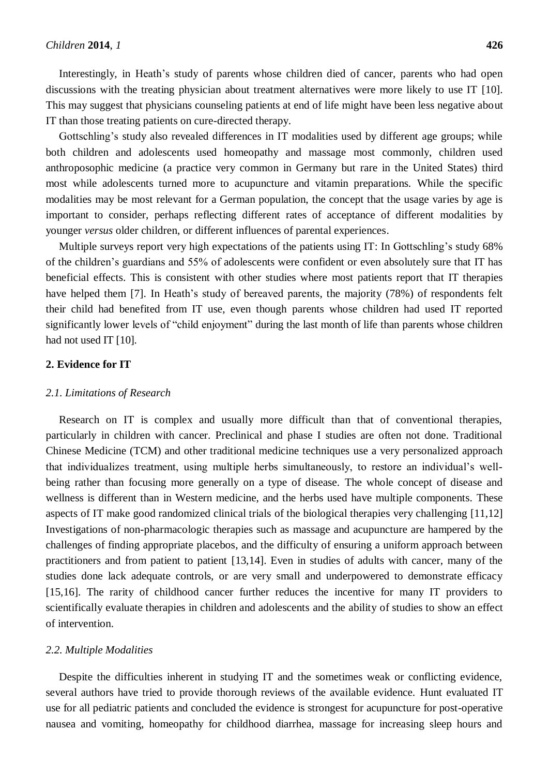Interestingly, in Heath's study of parents whose children died of cancer, parents who had open discussions with the treating physician about treatment alternatives were more likely to use IT [10]. This may suggest that physicians counseling patients at end of life might have been less negative about IT than those treating patients on cure-directed therapy.

Gottschling's study also revealed differences in IT modalities used by different age groups; while both children and adolescents used homeopathy and massage most commonly, children used anthroposophic medicine (a practice very common in Germany but rare in the United States) third most while adolescents turned more to acupuncture and vitamin preparations. While the specific modalities may be most relevant for a German population, the concept that the usage varies by age is important to consider, perhaps reflecting different rates of acceptance of different modalities by younger *versus* older children, or different influences of parental experiences.

Multiple surveys report very high expectations of the patients using IT: In Gottschling's study 68% of the children's guardians and 55% of adolescents were confident or even absolutely sure that IT has beneficial effects. This is consistent with other studies where most patients report that IT therapies have helped them [7]. In Heath's study of bereaved parents, the majority (78%) of respondents felt their child had benefited from IT use, even though parents whose children had used IT reported significantly lower levels of "child enjoyment" during the last month of life than parents whose children had not used IT [10].

#### **2. Evidence for IT**

#### *2.1. Limitations of Research*

Research on IT is complex and usually more difficult than that of conventional therapies, particularly in children with cancer. Preclinical and phase I studies are often not done. Traditional Chinese Medicine (TCM) and other traditional medicine techniques use a very personalized approach that individualizes treatment, using multiple herbs simultaneously, to restore an individual's wellbeing rather than focusing more generally on a type of disease. The whole concept of disease and wellness is different than in Western medicine, and the herbs used have multiple components. These aspects of IT make good randomized clinical trials of the biological therapies very challenging [11,12] Investigations of non-pharmacologic therapies such as massage and acupuncture are hampered by the challenges of finding appropriate placebos, and the difficulty of ensuring a uniform approach between practitioners and from patient to patient [13,14]. Even in studies of adults with cancer, many of the studies done lack adequate controls, or are very small and underpowered to demonstrate efficacy [15,16]. The rarity of childhood cancer further reduces the incentive for many IT providers to scientifically evaluate therapies in children and adolescents and the ability of studies to show an effect of intervention.

### *2.2. Multiple Modalities*

Despite the difficulties inherent in studying IT and the sometimes weak or conflicting evidence, several authors have tried to provide thorough reviews of the available evidence. Hunt evaluated IT use for all pediatric patients and concluded the evidence is strongest for acupuncture for post-operative nausea and vomiting, homeopathy for childhood diarrhea, massage for increasing sleep hours and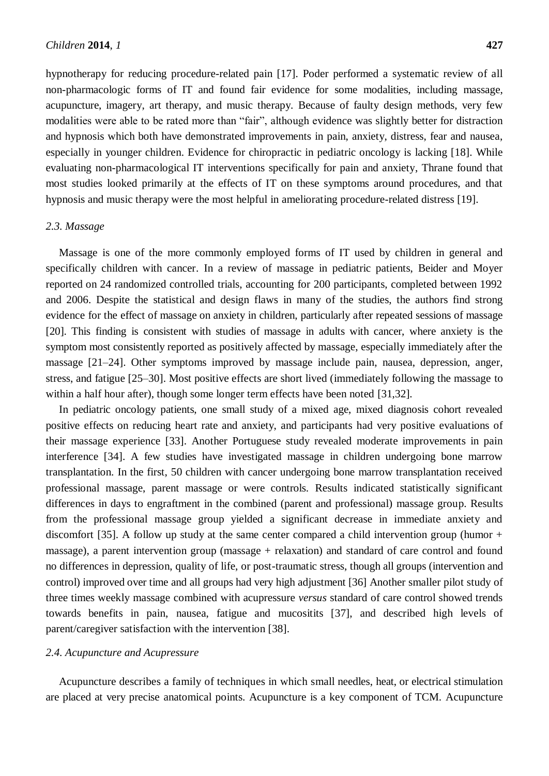hypnotherapy for reducing procedure-related pain [17]. Poder performed a systematic review of all non-pharmacologic forms of IT and found fair evidence for some modalities, including massage, acupuncture, imagery, art therapy, and music therapy. Because of faulty design methods, very few modalities were able to be rated more than "fair", although evidence was slightly better for distraction and hypnosis which both have demonstrated improvements in pain, anxiety, distress, fear and nausea, especially in younger children. Evidence for chiropractic in pediatric oncology is lacking [18]. While evaluating non-pharmacological IT interventions specifically for pain and anxiety, Thrane found that most studies looked primarily at the effects of IT on these symptoms around procedures, and that hypnosis and music therapy were the most helpful in ameliorating procedure-related distress [19].

#### *2.3. Massage*

Massage is one of the more commonly employed forms of IT used by children in general and specifically children with cancer. In a review of massage in pediatric patients, Beider and Moyer reported on 24 randomized controlled trials, accounting for 200 participants, completed between 1992 and 2006. Despite the statistical and design flaws in many of the studies, the authors find strong evidence for the effect of massage on anxiety in children, particularly after repeated sessions of massage [20]. This finding is consistent with studies of massage in adults with cancer, where anxiety is the symptom most consistently reported as positively affected by massage, especially immediately after the massage [21–24]. Other symptoms improved by massage include pain, nausea, depression, anger, stress, and fatigue [25–30]. Most positive effects are short lived (immediately following the massage to within a half hour after), though some longer term effects have been noted [31,32].

In pediatric oncology patients, one small study of a mixed age, mixed diagnosis cohort revealed positive effects on reducing heart rate and anxiety, and participants had very positive evaluations of their massage experience [33]. Another Portuguese study revealed moderate improvements in pain interference [34]. A few studies have investigated massage in children undergoing bone marrow transplantation. In the first, 50 children with cancer undergoing bone marrow transplantation received professional massage, parent massage or were controls. Results indicated statistically significant differences in days to engraftment in the combined (parent and professional) massage group. Results from the professional massage group yielded a significant decrease in immediate anxiety and discomfort [35]. A follow up study at the same center compared a child intervention group (humor  $+$ massage), a parent intervention group (massage + relaxation) and standard of care control and found no differences in depression, quality of life, or post-traumatic stress, though all groups (intervention and control) improved over time and all groups had very high adjustment [36] Another smaller pilot study of three times weekly massage combined with acupressure *versus* standard of care control showed trends towards benefits in pain, nausea, fatigue and mucositits [37], and described high levels of parent/caregiver satisfaction with the intervention [38].

# *2.4. Acupuncture and Acupressure*

Acupuncture describes a family of techniques in which small needles, heat, or electrical stimulation are placed at very precise anatomical points. Acupuncture is a key component of TCM. Acupuncture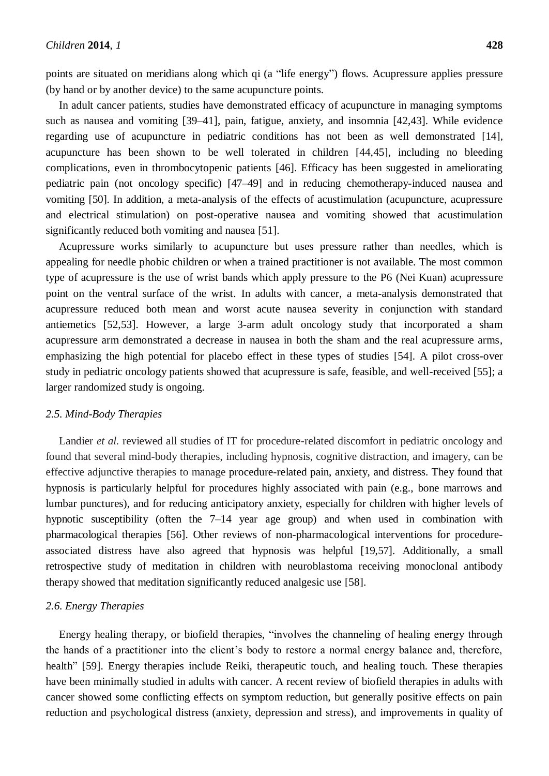points are situated on meridians along which qi (a "life energy") flows. Acupressure applies pressure (by hand or by another device) to the same acupuncture points.

In adult cancer patients, studies have demonstrated efficacy of acupuncture in managing symptoms such as nausea and vomiting [39–41], pain, fatigue, anxiety, and insomnia [42,43]. While evidence regarding use of acupuncture in pediatric conditions has not been as well demonstrated [14], acupuncture has been shown to be well tolerated in children [44,45], including no bleeding complications, even in thrombocytopenic patients [46]. Efficacy has been suggested in ameliorating pediatric pain (not oncology specific) [47–49] and in reducing chemotherapy-induced nausea and vomiting [50]. In addition, a meta-analysis of the effects of acustimulation (acupuncture, acupressure and electrical stimulation) on post-operative nausea and vomiting showed that acustimulation significantly reduced both vomiting and nausea [51].

Acupressure works similarly to acupuncture but uses pressure rather than needles, which is appealing for needle phobic children or when a trained practitioner is not available. The most common type of acupressure is the use of wrist bands which apply pressure to the P6 (Nei Kuan) acupressure point on the ventral surface of the wrist. In adults with cancer, a meta-analysis demonstrated that acupressure reduced both mean and worst acute nausea severity in conjunction with standard antiemetics [52,53]. However, a large 3-arm adult oncology study that incorporated a sham acupressure arm demonstrated a decrease in nausea in both the sham and the real acupressure arms, emphasizing the high potential for placebo effect in these types of studies [54]. A pilot cross-over study in pediatric oncology patients showed that acupressure is safe, feasible, and well-received [55]; a larger randomized study is ongoing.

### *2.5. Mind-Body Therapies*

Landier *et al.* reviewed all studies of IT for procedure-related discomfort in pediatric oncology and found that several mind-body therapies, including hypnosis, cognitive distraction, and imagery, can be effective adjunctive therapies to manage procedure-related pain, anxiety, and distress. They found that hypnosis is particularly helpful for procedures highly associated with pain (e.g., bone marrows and lumbar punctures), and for reducing anticipatory anxiety, especially for children with higher levels of hypnotic susceptibility (often the 7–14 year age group) and when used in combination with pharmacological therapies [56]. Other reviews of non-pharmacological interventions for procedureassociated distress have also agreed that hypnosis was helpful [19,57]. Additionally, a small retrospective study of meditation in children with neuroblastoma receiving monoclonal antibody therapy showed that meditation significantly reduced analgesic use [58].

### *2.6. Energy Therapies*

Energy healing therapy, or biofield therapies, "involves the channeling of healing energy through the hands of a practitioner into the client's body to restore a normal energy balance and, therefore, health" [59]. Energy therapies include Reiki, therapeutic touch, and healing touch. These therapies have been minimally studied in adults with cancer. A recent review of biofield therapies in adults with cancer showed some conflicting effects on symptom reduction, but generally positive effects on pain reduction and psychological distress (anxiety, depression and stress), and improvements in quality of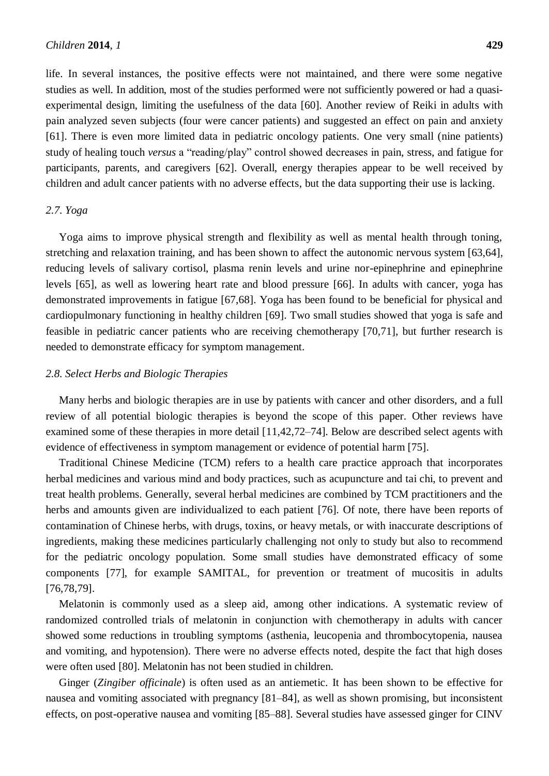life. In several instances, the positive effects were not maintained, and there were some negative studies as well. In addition, most of the studies performed were not sufficiently powered or had a quasiexperimental design, limiting the usefulness of the data [60]. Another review of Reiki in adults with pain analyzed seven subjects (four were cancer patients) and suggested an effect on pain and anxiety [61]. There is even more limited data in pediatric oncology patients. One very small (nine patients) study of healing touch *versus* a "reading/play" control showed decreases in pain, stress, and fatigue for participants, parents, and caregivers [62]. Overall, energy therapies appear to be well received by children and adult cancer patients with no adverse effects, but the data supporting their use is lacking.

# *2.7. Yoga*

Yoga aims to improve physical strength and flexibility as well as mental health through toning, stretching and relaxation training, and has been shown to affect the autonomic nervous system [63,64], reducing levels of salivary cortisol, plasma renin levels and urine nor-epinephrine and epinephrine levels [65], as well as lowering heart rate and blood pressure [66]. In adults with cancer, yoga has demonstrated improvements in fatigue [67,68]. Yoga has been found to be beneficial for physical and cardiopulmonary functioning in healthy children [69]. Two small studies showed that yoga is safe and feasible in pediatric cancer patients who are receiving chemotherapy [70,71], but further research is needed to demonstrate efficacy for symptom management.

# *2.8. Select Herbs and Biologic Therapies*

Many herbs and biologic therapies are in use by patients with cancer and other disorders, and a full review of all potential biologic therapies is beyond the scope of this paper. Other reviews have examined some of these therapies in more detail [11,42,72–74]. Below are described select agents with evidence of effectiveness in symptom management or evidence of potential harm [75].

Traditional Chinese Medicine (TCM) refers to a health care practice approach that incorporates herbal medicines and various mind and body practices, such as acupuncture and tai chi, to prevent and treat health problems. Generally, several herbal medicines are combined by TCM practitioners and the herbs and amounts given are individualized to each patient [76]. Of note, there have been reports of contamination of Chinese herbs, with drugs, toxins, or heavy metals, or with inaccurate descriptions of ingredients, making these medicines particularly challenging not only to study but also to recommend for the pediatric oncology population. Some small studies have demonstrated efficacy of some components [77], for example SAMITAL, for prevention or treatment of mucositis in adults [76,78,79].

Melatonin is commonly used as a sleep aid, among other indications. A systematic review of randomized controlled trials of melatonin in conjunction with chemotherapy in adults with cancer showed some reductions in troubling symptoms (asthenia, leucopenia and thrombocytopenia, nausea and vomiting, and hypotension). There were no adverse effects noted, despite the fact that high doses were often used [80]. Melatonin has not been studied in children.

Ginger (*Zingiber officinale*) is often used as an antiemetic. It has been shown to be effective for nausea and vomiting associated with pregnancy [81–84], as well as shown promising, but inconsistent effects, on post-operative nausea and vomiting [85–88]. Several studies have assessed ginger for CINV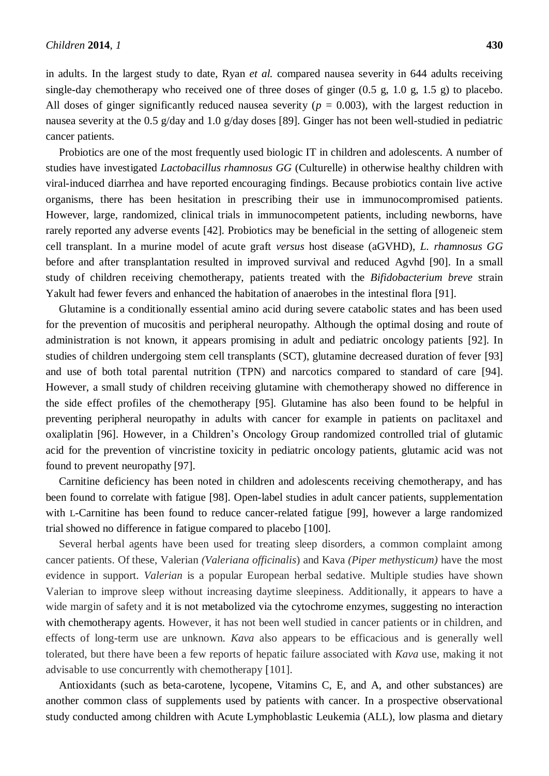in adults. In the largest study to date, Ryan *et al.* compared nausea severity in 644 adults receiving

single-day chemotherapy who received one of three doses of ginger  $(0.5 \text{ g}, 1.0 \text{ g}, 1.5 \text{ g})$  to placebo. All doses of ginger significantly reduced nausea severity ( $p = 0.003$ ), with the largest reduction in nausea severity at the 0.5 g/day and 1.0 g/day doses [89]. Ginger has not been well-studied in pediatric cancer patients.

Probiotics are one of the most frequently used biologic IT in children and adolescents. A number of studies have investigated *Lactobacillus rhamnosus GG* (Culturelle) in otherwise healthy children with viral-induced diarrhea and have reported encouraging findings. Because probiotics contain live active organisms, there has been hesitation in prescribing their use in immunocompromised patients. However, large, randomized, clinical trials in immunocompetent patients, including newborns, have rarely reported any adverse events [42]. Probiotics may be beneficial in the setting of allogeneic stem cell transplant. In a murine model of acute graft *versus* host disease (aGVHD), *L. rhamnosus GG* before and after transplantation resulted in improved survival and reduced Agvhd [90]. In a small study of children receiving chemotherapy, patients treated with the *Bifidobacterium breve* strain Yakult had fewer fevers and enhanced the habitation of anaerobes in the intestinal flora [91].

Glutamine is a conditionally essential amino acid during severe catabolic states and has been used for the prevention of mucositis and peripheral neuropathy. Although the optimal dosing and route of administration is not known, it appears promising in adult and pediatric oncology patients [92]. In studies of children undergoing stem cell transplants (SCT), glutamine decreased duration of fever [93] and use of both total parental nutrition (TPN) and narcotics compared to standard of care [94]. However, a small study of children receiving glutamine with chemotherapy showed no difference in the side effect profiles of the chemotherapy [95]. Glutamine has also been found to be helpful in preventing peripheral neuropathy in adults with cancer for example in patients on paclitaxel and oxaliplatin [96]. However, in a Children's Oncology Group randomized controlled trial of glutamic acid for the prevention of vincristine toxicity in pediatric oncology patients, glutamic acid was not found to prevent neuropathy [97].

Carnitine deficiency has been noted in children and adolescents receiving chemotherapy, and has been found to correlate with fatigue [98]. Open-label studies in adult cancer patients, supplementation with L-Carnitine has been found to reduce cancer-related fatigue [99], however a large randomized trial showed no difference in fatigue compared to placebo [100].

Several herbal agents have been used for treating sleep disorders, a common complaint among cancer patients. Of these, Valerian *(Valeriana officinalis*) and Kava *(Piper methysticum)* have the most evidence in support. *Valerian* is a popular European herbal sedative. Multiple studies have shown Valerian to improve sleep without increasing daytime sleepiness. Additionally, it appears to have a wide margin of safety and it is not metabolized via the cytochrome enzymes, suggesting no interaction with chemotherapy agents. However, it has not been well studied in cancer patients or in children, and effects of long-term use are unknown. *Kava* also appears to be efficacious and is generally well tolerated, but there have been a few reports of hepatic failure associated with *Kava* use, making it not advisable to use concurrently with chemotherapy [101].

Antioxidants (such as beta-carotene, lycopene, Vitamins C, E, and A, and other substances) are another common class of supplements used by patients with cancer. In a prospective observational study conducted among children with Acute Lymphoblastic Leukemia (ALL), low plasma and dietary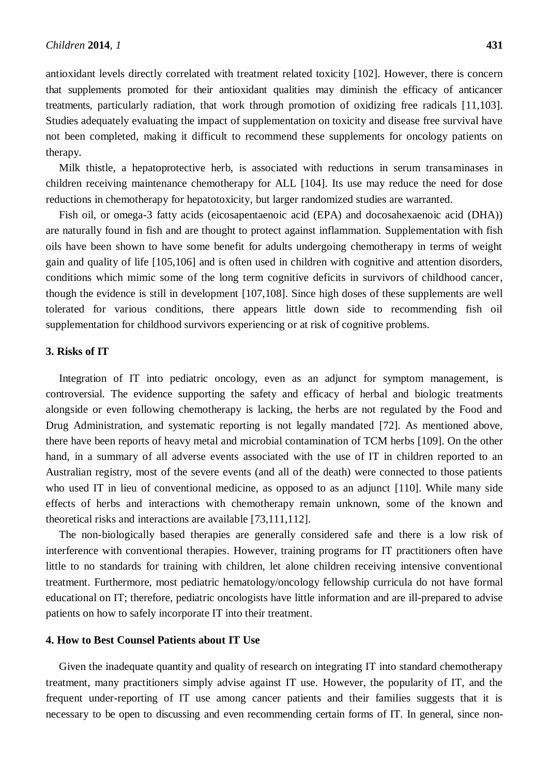antioxidant levels directly correlated with treatment related toxicity [102]. However, there is concern that supplements promoted for their antioxidant qualities may diminish the efficacy of anticancer treatments, particularly radiation, that work through promotion of oxidizing free radicals [11,103]. Studies adequately evaluating the impact of supplementation on toxicity and disease free survival have not been completed, making it difficult to recommend these supplements for oncology patients on therapy.

Milk thistle, a hepatoprotective herb, is associated with reductions in serum transaminases in children receiving maintenance chemotherapy for ALL [104]. Its use may reduce the need for dose reductions in chemotherapy for hepatotoxicity, but larger randomized studies are warranted.

Fish oil, or omega-3 fatty acids (eicosapentaenoic acid (EPA) and docosahexaenoic acid (DHA)) are naturally found in fish and are thought to protect against inflammation. Supplementation with fish oils have been shown to have some benefit for adults undergoing chemotherapy in terms of weight gain and quality of life [105,106] and is often used in children with cognitive and attention disorders, conditions which mimic some of the long term cognitive deficits in survivors of childhood cancer, though the evidence is still in development [107,108]. Since high doses of these supplements are well tolerated for various conditions, there appears little down side to recommending fish oil supplementation for childhood survivors experiencing or at risk of cognitive problems.

### **3. Risks of IT**

Integration of IT into pediatric oncology, even as an adjunct for symptom management, is controversial. The evidence supporting the safety and efficacy of herbal and biologic treatments alongside or even following chemotherapy is lacking, the herbs are not regulated by the Food and Drug Administration, and systematic reporting is not legally mandated [72]. As mentioned above, there have been reports of heavy metal and microbial contamination of TCM herbs [109]. On the other hand, in a summary of all adverse events associated with the use of IT in children reported to an Australian registry, most of the severe events (and all of the death) were connected to those patients who used IT in lieu of conventional medicine, as opposed to as an adjunct [110]. While many side effects of herbs and interactions with chemotherapy remain unknown, some of the known and theoretical risks and interactions are available [73,111,112].

The non-biologically based therapies are generally considered safe and there is a low risk of interference with conventional therapies. However, training programs for IT practitioners often have little to no standards for training with children, let alone children receiving intensive conventional treatment. Furthermore, most pediatric hematology/oncology fellowship curricula do not have formal educational on IT; therefore, pediatric oncologists have little information and are ill-prepared to advise patients on how to safely incorporate IT into their treatment.

# **4. How to Best Counsel Patients about IT Use**

Given the inadequate quantity and quality of research on integrating IT into standard chemotherapy treatment, many practitioners simply advise against IT use. However, the popularity of IT, and the frequent under-reporting of IT use among cancer patients and their families suggests that it is necessary to be open to discussing and even recommending certain forms of IT. In general, since non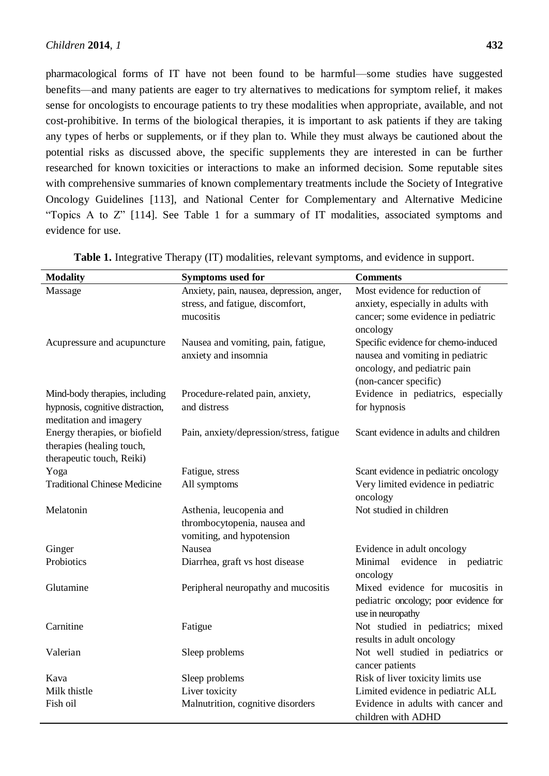pharmacological forms of IT have not been found to be harmful—some studies have suggested benefits—and many patients are eager to try alternatives to medications for symptom relief, it makes sense for oncologists to encourage patients to try these modalities when appropriate, available, and not cost-prohibitive. In terms of the biological therapies, it is important to ask patients if they are taking any types of herbs or supplements, or if they plan to. While they must always be cautioned about the potential risks as discussed above, the specific supplements they are interested in can be further researched for known toxicities or interactions to make an informed decision. Some reputable sites with comprehensive summaries of known complementary treatments include the Society of Integrative Oncology Guidelines [113], and National Center for Complementary and Alternative Medicine "Topics A to Z" [114]. See Table 1 for a summary of IT modalities, associated symptoms and evidence for use.

| <b>Modality</b>                             | <b>Symptoms used for</b>                  | <b>Comments</b>                                          |
|---------------------------------------------|-------------------------------------------|----------------------------------------------------------|
| Massage                                     | Anxiety, pain, nausea, depression, anger, | Most evidence for reduction of                           |
|                                             | stress, and fatigue, discomfort,          | anxiety, especially in adults with                       |
|                                             | mucositis                                 | cancer; some evidence in pediatric                       |
|                                             |                                           | oncology                                                 |
| Acupressure and acupuncture                 | Nausea and vomiting, pain, fatigue,       | Specific evidence for chemo-induced                      |
|                                             | anxiety and insomnia                      | nausea and vomiting in pediatric                         |
|                                             |                                           | oncology, and pediatric pain                             |
|                                             |                                           | (non-cancer specific)                                    |
| Mind-body therapies, including              | Procedure-related pain, anxiety,          | Evidence in pediatrics, especially                       |
| hypnosis, cognitive distraction,            | and distress                              | for hypnosis                                             |
| meditation and imagery                      |                                           |                                                          |
| Energy therapies, or biofield               | Pain, anxiety/depression/stress, fatigue  | Scant evidence in adults and children                    |
| therapies (healing touch,                   |                                           |                                                          |
| therapeutic touch, Reiki)                   |                                           |                                                          |
| Yoga<br><b>Traditional Chinese Medicine</b> | Fatigue, stress                           | Scant evidence in pediatric oncology                     |
|                                             | All symptoms                              | Very limited evidence in pediatric<br>oncology           |
| Melatonin                                   | Asthenia, leucopenia and                  | Not studied in children                                  |
|                                             | thrombocytopenia, nausea and              |                                                          |
|                                             | vomiting, and hypotension                 |                                                          |
| Ginger                                      | Nausea                                    | Evidence in adult oncology                               |
| Probiotics                                  | Diarrhea, graft vs host disease           | Minimal<br>evidence in pediatric                         |
|                                             |                                           | oncology                                                 |
| Glutamine                                   | Peripheral neuropathy and mucositis       | Mixed evidence for mucositis in                          |
|                                             |                                           | pediatric oncology; poor evidence for                    |
|                                             |                                           | use in neuropathy                                        |
| Carnitine                                   | Fatigue                                   | Not studied in pediatrics; mixed                         |
|                                             |                                           | results in adult oncology                                |
| Valerian                                    | Sleep problems                            | Not well studied in pediatrics or                        |
|                                             |                                           | cancer patients                                          |
| Kava                                        | Sleep problems                            | Risk of liver toxicity limits use                        |
| Milk thistle                                | Liver toxicity                            | Limited evidence in pediatric ALL                        |
| Fish oil                                    | Malnutrition, cognitive disorders         | Evidence in adults with cancer and<br>children with ADHD |

**Table 1.** Integrative Therapy (IT) modalities, relevant symptoms, and evidence in support.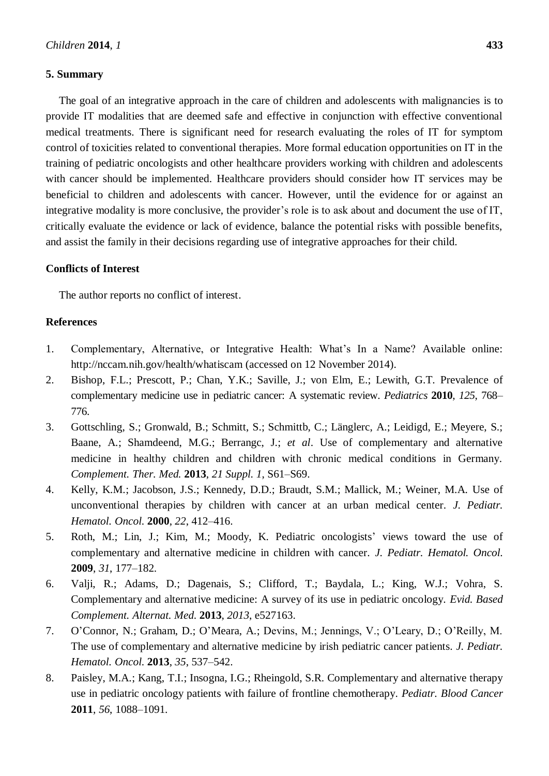# **5. Summary**

The goal of an integrative approach in the care of children and adolescents with malignancies is to provide IT modalities that are deemed safe and effective in conjunction with effective conventional medical treatments. There is significant need for research evaluating the roles of IT for symptom control of toxicities related to conventional therapies. More formal education opportunities on IT in the training of pediatric oncologists and other healthcare providers working with children and adolescents with cancer should be implemented. Healthcare providers should consider how IT services may be beneficial to children and adolescents with cancer. However, until the evidence for or against an integrative modality is more conclusive, the provider's role is to ask about and document the use of IT, critically evaluate the evidence or lack of evidence, balance the potential risks with possible benefits, and assist the family in their decisions regarding use of integrative approaches for their child.

#### **Conflicts of Interest**

The author reports no conflict of interest.

# **References**

- 1. Complementary, Alternative, or Integrative Health: What's In a Name? Available online: http://nccam.nih.gov/health/whatiscam (accessed on 12 November 2014).
- 2. Bishop, F.L.; Prescott, P.; Chan, Y.K.; Saville, J.; von Elm, E.; Lewith, G.T. Prevalence of complementary medicine use in pediatric cancer: A systematic review. *Pediatrics* **2010**, *125*, 768– 776.
- 3. Gottschling, S.; Gronwald, B.; Schmitt, S.; Schmittb, C.; Länglerc, A.; Leidigd, E.; Meyere, S.; Baane, A.; Shamdeend, M.G.; Berrangc, J.; *et al*. Use of complementary and alternative medicine in healthy children and children with chronic medical conditions in Germany. *Complement. Ther. Med.* **2013**, *21 Suppl. 1*, S61–S69.
- 4. Kelly, K.M.; Jacobson, J.S.; Kennedy, D.D.; Braudt, S.M.; Mallick, M.; Weiner, M.A. Use of unconventional therapies by children with cancer at an urban medical center. *J. Pediatr. Hematol. Oncol.* **2000**, *22*, 412–416.
- 5. Roth, M.; Lin, J.; Kim, M.; Moody, K. Pediatric oncologists' views toward the use of complementary and alternative medicine in children with cancer. *J. Pediatr. Hematol. Oncol.* **2009**, *31*, 177–182.
- 6. Valji, R.; Adams, D.; Dagenais, S.; Clifford, T.; Baydala, L.; King, W.J.; Vohra, S. Complementary and alternative medicine: A survey of its use in pediatric oncology. *Evid. Based Complement. Alternat. Med.* **2013**, *2013*, e527163.
- 7. O'Connor, N.; Graham, D.; O'Meara, A.; Devins, M.; Jennings, V.; O'Leary, D.; O'Reilly, M. The use of complementary and alternative medicine by irish pediatric cancer patients. *J. Pediatr. Hematol. Oncol.* **2013**, *35*, 537–542.
- 8. Paisley, M.A.; Kang, T.I.; Insogna, I.G.; Rheingold, S.R. Complementary and alternative therapy use in pediatric oncology patients with failure of frontline chemotherapy. *Pediatr. Blood Cancer* **2011**, *56*, 1088–1091.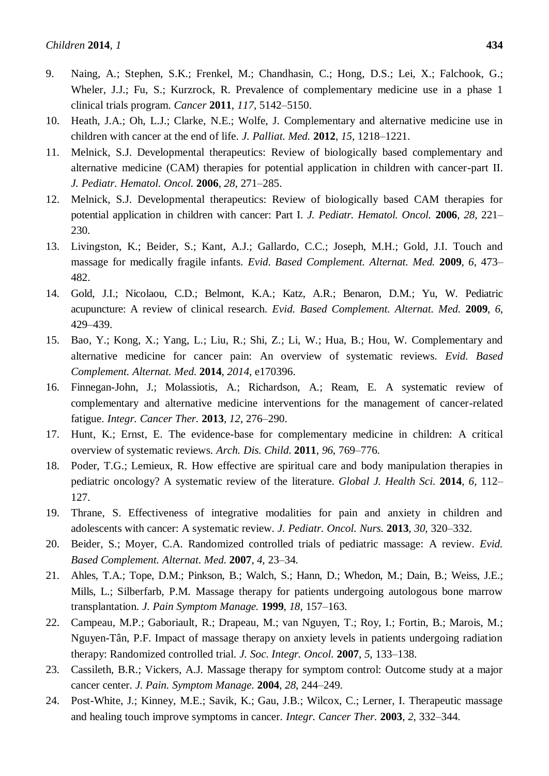- 9. Naing, A.; Stephen, S.K.; Frenkel, M.; Chandhasin, C.; Hong, D.S.; Lei, X.; Falchook, G.; Wheler, J.J.; Fu, S.; Kurzrock, R. Prevalence of complementary medicine use in a phase 1 clinical trials program. *Cancer* **2011**, *117*, 5142–5150.
- 10. Heath, J.A.; Oh, L.J.; Clarke, N.E.; Wolfe, J. Complementary and alternative medicine use in children with cancer at the end of life. *J. Palliat. Med.* **2012**, *15*, 1218–1221.
- 11. Melnick, S.J. Developmental therapeutics: Review of biologically based complementary and alternative medicine (CAM) therapies for potential application in children with cancer-part II. *J. Pediatr. Hematol. Oncol.* **2006**, *28*, 271–285.
- 12. Melnick, S.J. Developmental therapeutics: Review of biologically based CAM therapies for potential application in children with cancer: Part I. *J. Pediatr. Hematol. Oncol.* **2006**, *28*, 221– 230.
- 13. Livingston, K.; Beider, S.; Kant, A.J.; Gallardo, C.C.; Joseph, M.H.; Gold, J.I. Touch and massage for medically fragile infants. *Evid. Based Complement. Alternat. Med.* **2009**, *6*, 473– 482.
- 14. Gold, J.I.; Nicolaou, C.D.; Belmont, K.A.; Katz, A.R.; Benaron, D.M.; Yu, W. Pediatric acupuncture: A review of clinical research. *Evid. Based Complement. Alternat. Med.* **2009**, *6*, 429–439.
- 15. Bao, Y.; Kong, X.; Yang, L.; Liu, R.; Shi, Z.; Li, W.; Hua, B.; Hou, W. Complementary and alternative medicine for cancer pain: An overview of systematic reviews. *Evid. Based Complement. Alternat. Med.* **2014**, *2014*, e170396.
- 16. Finnegan-John, J.; Molassiotis, A.; Richardson, A.; Ream, E. A systematic review of complementary and alternative medicine interventions for the management of cancer-related fatigue. *Integr. Cancer Ther.* **2013**, *12*, 276–290.
- 17. Hunt, K.; Ernst, E. The evidence-base for complementary medicine in children: A critical overview of systematic reviews. *Arch. Dis. Child.* **2011**, *96*, 769–776.
- 18. Poder, T.G.; Lemieux, R. How effective are spiritual care and body manipulation therapies in pediatric oncology? A systematic review of the literature. *Global J. Health Sci.* **2014**, *6*, 112– 127.
- 19. Thrane, S. Effectiveness of integrative modalities for pain and anxiety in children and adolescents with cancer: A systematic review. *J. Pediatr. Oncol. Nurs.* **2013**, *30*, 320–332.
- 20. Beider, S.; Moyer, C.A. Randomized controlled trials of pediatric massage: A review. *Evid. Based Complement. Alternat. Med.* **2007**, *4*, 23–34.
- 21. Ahles, T.A.; Tope, D.M.; Pinkson, B.; Walch, S.; Hann, D.; Whedon, M.; Dain, B.; Weiss, J.E.; Mills, L.; Silberfarb, P.M. Massage therapy for patients undergoing autologous bone marrow transplantation. *J. Pain Symptom Manage.* **1999**, *18*, 157–163.
- 22. Campeau, M.P.; Gaboriault, R.; Drapeau, M.; van Nguyen, T.; Roy, I.; Fortin, B.; Marois, M.; Nguyen-Tân, P.F. Impact of massage therapy on anxiety levels in patients undergoing radiation therapy: Randomized controlled trial. *J. Soc. Integr. Oncol.* **2007**, *5*, 133–138.
- 23. Cassileth, B.R.; Vickers, A.J. Massage therapy for symptom control: Outcome study at a major cancer center. *J. Pain. Symptom Manage.* **2004**, *28*, 244–249.
- 24. Post-White, J.; Kinney, M.E.; Savik, K.; Gau, J.B.; Wilcox, C.; Lerner, I. Therapeutic massage and healing touch improve symptoms in cancer. *Integr. Cancer Ther.* **2003**, *2*, 332–344.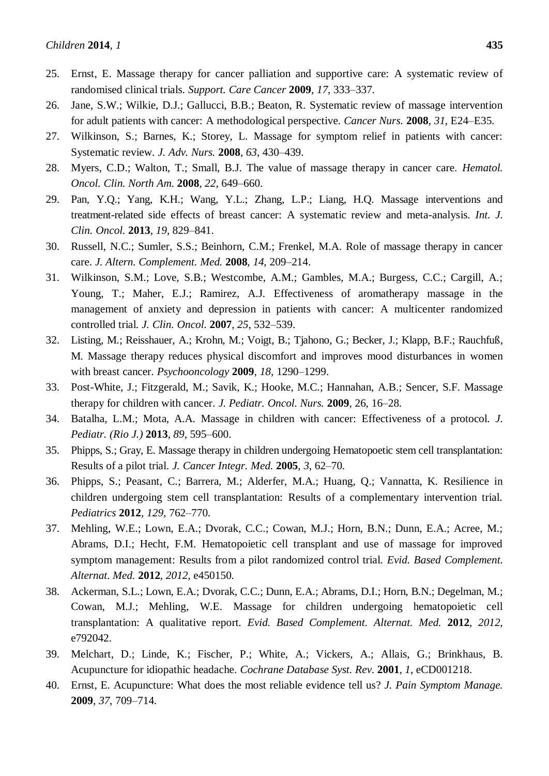- 25. Ernst, E. Massage therapy for cancer palliation and supportive care: A systematic review of randomised clinical trials. *Support. Care Cancer* **2009**, *17*, 333–337.
- 26. Jane, S.W.; Wilkie, D.J.; Gallucci, B.B.; Beaton, R. Systematic review of massage intervention for adult patients with cancer: A methodological perspective. *Cancer Nurs.* **2008**, *31*, E24–E35.
- 27. Wilkinson, S.; Barnes, K.; Storey, L. Massage for symptom relief in patients with cancer: Systematic review. *J. Adv. Nurs.* **2008**, *63*, 430–439.
- 28. Myers, C.D.; Walton, T.; Small, B.J. The value of massage therapy in cancer care. *Hematol. Oncol. Clin. North Am.* **2008**, *22*, 649–660.
- 29. Pan, Y.Q.; Yang, K.H.; Wang, Y.L.; Zhang, L.P.; Liang, H.Q. Massage interventions and treatment-related side effects of breast cancer: A systematic review and meta-analysis. *Int. J. Clin. Oncol.* **2013**, *19*, 829–841.
- 30. Russell, N.C.; Sumler, S.S.; Beinhorn, C.M.; Frenkel, M.A. Role of massage therapy in cancer care. *J. Altern. Complement. Med.* **2008**, *14*, 209–214.
- 31. Wilkinson, S.M.; Love, S.B.; Westcombe, A.M.; Gambles, M.A.; Burgess, C.C.; Cargill, A.; Young, T.; Maher, E.J.; Ramirez, A.J. Effectiveness of aromatherapy massage in the management of anxiety and depression in patients with cancer: A multicenter randomized controlled trial. *J. Clin. Oncol.* **2007**, *25*, 532–539.
- 32. Listing, M.; Reisshauer, A.; Krohn, M.; Voigt, B.; Tjahono, G.; Becker, J.; Klapp, B.F.; Rauchfuß, M. Massage therapy reduces physical discomfort and improves mood disturbances in women with breast cancer. *Psychooncology* **2009**, *18*, 1290–1299.
- 33. Post-White, J.; Fitzgerald, M.; Savik, K.; Hooke, M.C.; Hannahan, A.B.; Sencer, S.F. Massage therapy for children with cancer. *J. Pediatr. Oncol. Nurs.* **2009**, 26, 16–28.
- 34. Batalha, L.M.; Mota, A.A. Massage in children with cancer: Effectiveness of a protocol. *J. Pediatr. (Rio J.)* **2013**, *89*, 595–600.
- 35. Phipps, S.; Gray, E. Massage therapy in children undergoing Hematopoetic stem cell transplantation: Results of a pilot trial. *J. Cancer Integr. Med.* **2005**, *3*, 62–70.
- 36. Phipps, S.; Peasant, C.; Barrera, M.; Alderfer, M.A.; Huang, Q.; Vannatta, K. Resilience in children undergoing stem cell transplantation: Results of a complementary intervention trial. *Pediatrics* **2012**, *129*, 762–770.
- 37. Mehling, W.E.; Lown, E.A.; Dvorak, C.C.; Cowan, M.J.; Horn, B.N.; Dunn, E.A.; Acree, M.; Abrams, D.I.; Hecht, F.M. Hematopoietic cell transplant and use of massage for improved symptom management: Results from a pilot randomized control trial. *Evid. Based Complement. Alternat. Med.* **2012**, *2012*, e450150.
- 38. Ackerman, S.L.; Lown, E.A.; Dvorak, C.C.; Dunn, E.A.; Abrams, D.I.; Horn, B.N.; Degelman, M.; Cowan, M.J.; Mehling, W.E. Massage for children undergoing hematopoietic cell transplantation: A qualitative report. *Evid. Based Complement. Alternat. Med.* **2012**, *2012*, e792042.
- 39. Melchart, D.; Linde, K.; Fischer, P.; White, A.; Vickers, A.; Allais, G.; Brinkhaus, B. Acupuncture for idiopathic headache. *Cochrane Database Syst. Rev.* **2001**, *1*, eCD001218.
- 40. Ernst, E. Acupuncture: What does the most reliable evidence tell us? *J. Pain Symptom Manage.* **2009**, *37*, 709–714.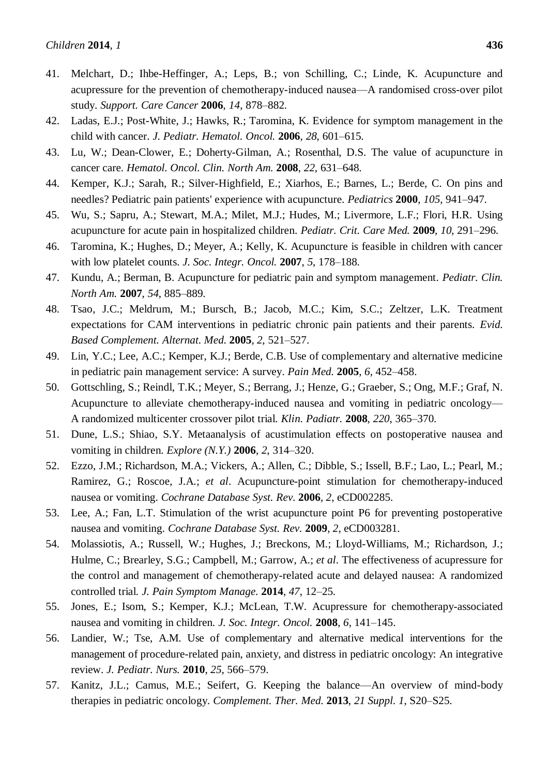- 41. Melchart, D.; Ihbe-Heffinger, A.; Leps, B.; von Schilling, C.; Linde, K. Acupuncture and acupressure for the prevention of chemotherapy-induced nausea—A randomised cross-over pilot study. *Support. Care Cancer* **2006**, *14*, 878–882.
- 42. Ladas, E.J.; Post-White, J.; Hawks, R.; Taromina, K. Evidence for symptom management in the child with cancer. *J. Pediatr. Hematol. Oncol.* **2006**, *28*, 601–615.
- 43. Lu, W.; Dean-Clower, E.; Doherty-Gilman, A.; Rosenthal, D.S. The value of acupuncture in cancer care. *Hematol. Oncol. Clin. North Am.* **2008**, *22*, 631–648.
- 44. Kemper, K.J.; Sarah, R.; Silver-Highfield, E.; Xiarhos, E.; Barnes, L.; Berde, C. On pins and needles? Pediatric pain patients' experience with acupuncture. *Pediatrics* **2000**, *105*, 941–947.
- 45. Wu, S.; Sapru, A.; Stewart, M.A.; Milet, M.J.; Hudes, M.; Livermore, L.F.; Flori, H.R. Using acupuncture for acute pain in hospitalized children. *Pediatr. Crit. Care Med.* **2009**, *10*, 291–296.
- 46. Taromina, K.; Hughes, D.; Meyer, A.; Kelly, K. Acupuncture is feasible in children with cancer with low platelet counts. *J. Soc. Integr. Oncol.* **2007**, *5*, 178–188.
- 47. Kundu, A.; Berman, B. Acupuncture for pediatric pain and symptom management. *Pediatr. Clin. North Am.* **2007**, *54*, 885–889.
- 48. Tsao, J.C.; Meldrum, M.; Bursch, B.; Jacob, M.C.; Kim, S.C.; Zeltzer, L.K. Treatment expectations for CAM interventions in pediatric chronic pain patients and their parents. *Evid. Based Complement. Alternat. Med.* **2005**, *2*, 521–527.
- 49. Lin, Y.C.; Lee, A.C.; Kemper, K.J.; Berde, C.B. Use of complementary and alternative medicine in pediatric pain management service: A survey. *Pain Med.* **2005**, *6*, 452–458.
- 50. Gottschling, S.; Reindl, T.K.; Meyer, S.; Berrang, J.; Henze, G.; Graeber, S.; Ong, M.F.; Graf, N. Acupuncture to alleviate chemotherapy-induced nausea and vomiting in pediatric oncology— A randomized multicenter crossover pilot trial. *Klin. Padiatr.* **2008**, *220*, 365–370.
- 51. Dune, L.S.; Shiao, S.Y. Metaanalysis of acustimulation effects on postoperative nausea and vomiting in children. *Explore (N.Y.)* **2006**, *2*, 314–320.
- 52. Ezzo, J.M.; Richardson, M.A.; Vickers, A.; Allen, C.; Dibble, S.; Issell, B.F.; Lao, L.; Pearl, M.; Ramirez, G.; Roscoe, J.A.; *et al*. Acupuncture-point stimulation for chemotherapy-induced nausea or vomiting. *Cochrane Database Syst. Rev.* **2006**, *2*, eCD002285.
- 53. Lee, A.; Fan, L.T. Stimulation of the wrist acupuncture point P6 for preventing postoperative nausea and vomiting. *Cochrane Database Syst. Rev.* **2009**, *2*, eCD003281.
- 54. Molassiotis, A.; Russell, W.; Hughes, J.; Breckons, M.; Lloyd-Williams, M.; Richardson, J.; Hulme, C.; Brearley, S.G.; Campbell, M.; Garrow, A.; *et al*. The effectiveness of acupressure for the control and management of chemotherapy-related acute and delayed nausea: A randomized controlled trial. *J. Pain Symptom Manage.* **2014**, *47*, 12–25.
- 55. Jones, E.; Isom, S.; Kemper, K.J.; McLean, T.W. Acupressure for chemotherapy-associated nausea and vomiting in children. *J. Soc. Integr. Oncol.* **2008**, *6*, 141–145.
- 56. Landier, W.; Tse, A.M. Use of complementary and alternative medical interventions for the management of procedure-related pain, anxiety, and distress in pediatric oncology: An integrative review. *J. Pediatr. Nurs.* **2010**, *25*, 566–579.
- 57. Kanitz, J.L.; Camus, M.E.; Seifert, G. Keeping the balance—An overview of mind-body therapies in pediatric oncology. *Complement. Ther. Med*. **2013**, *21 Suppl. 1*, S20–S25.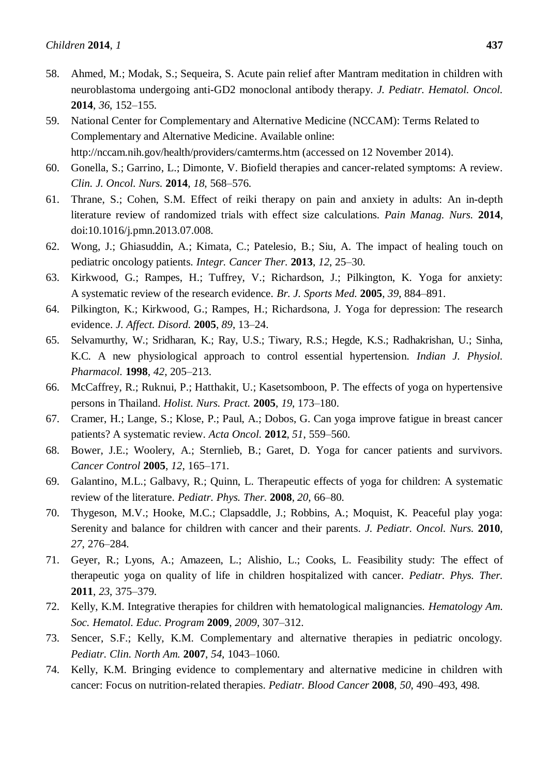- 58. Ahmed, M.; Modak, S.; Sequeira, S. Acute pain relief after Mantram meditation in children with neuroblastoma undergoing anti-GD2 monoclonal antibody therapy. *J. Pediatr. Hematol. Oncol.* **2014**, *36*, 152–155.
- 59. National Center for Complementary and Alternative Medicine (NCCAM): Terms Related to Complementary and Alternative Medicine. Available online: http://nccam.nih.gov/health/providers/camterms.htm (accessed on 12 November 2014).
- 60. Gonella, S.; Garrino, L.; Dimonte, V. Biofield therapies and cancer-related symptoms: A review. *Clin. J. Oncol. Nurs.* **2014**, *18*, 568–576.
- 61. Thrane, S.; Cohen, S.M. Effect of reiki therapy on pain and anxiety in adults: An in-depth literature review of randomized trials with effect size calculations. *Pain Manag. Nurs.* **2014**, doi:10.1016/j.pmn.2013.07.008.
- 62. Wong, J.; Ghiasuddin, A.; Kimata, C.; Patelesio, B.; Siu, A. The impact of healing touch on pediatric oncology patients. *Integr. Cancer Ther.* **2013**, *12*, 25–30.
- 63. Kirkwood, G.; Rampes, H.; Tuffrey, V.; Richardson, J.; Pilkington, K. Yoga for anxiety: A systematic review of the research evidence. *Br. J. Sports Med.* **2005**, *39*, 884–891.
- 64. Pilkington, K.; Kirkwood, G.; Rampes, H.; Richardsona, J. Yoga for depression: The research evidence. *J. Affect. Disord.* **2005**, *89*, 13–24.
- 65. Selvamurthy, W.; Sridharan, K.; Ray, U.S.; Tiwary, R.S.; Hegde, K.S.; Radhakrishan, U.; Sinha, K.C. A new physiological approach to control essential hypertension. *Indian J. Physiol. Pharmacol.* **1998**, *42*, 205–213.
- 66. McCaffrey, R.; Ruknui, P.; Hatthakit, U.; Kasetsomboon, P. The effects of yoga on hypertensive persons in Thailand. *Holist. Nurs. Pract.* **2005**, *19*, 173–180.
- 67. Cramer, H.; Lange, S.; Klose, P.; Paul, A.; Dobos, G. Can yoga improve fatigue in breast cancer patients? A systematic review. *Acta Oncol.* **2012**, *51*, 559–560.
- 68. Bower, J.E.; Woolery, A.; Sternlieb, B.; Garet, D. Yoga for cancer patients and survivors. *Cancer Control* **2005**, *12*, 165–171.
- 69. Galantino, M.L.; Galbavy, R.; Quinn, L. Therapeutic effects of yoga for children: A systematic review of the literature. *Pediatr. Phys. Ther.* **2008**, *20*, 66–80.
- 70. Thygeson, M.V.; Hooke, M.C.; Clapsaddle, J.; Robbins, A.; Moquist, K. Peaceful play yoga: Serenity and balance for children with cancer and their parents. *J. Pediatr. Oncol. Nurs.* **2010**, *27*, 276–284.
- 71. Geyer, R.; Lyons, A.; Amazeen, L.; Alishio, L.; Cooks, L. Feasibility study: The effect of therapeutic yoga on quality of life in children hospitalized with cancer. *Pediatr. Phys. Ther.* **2011**, *23*, 375–379.
- 72. Kelly, K.M. Integrative therapies for children with hematological malignancies. *Hematology Am. Soc. Hematol. Educ. Program* **2009**, *2009*, 307–312.
- 73. Sencer, S.F.; Kelly, K.M. Complementary and alternative therapies in pediatric oncology. *Pediatr. Clin. North Am.* **2007**, *54*, 1043–1060.
- 74. Kelly, K.M. Bringing evidence to complementary and alternative medicine in children with cancer: Focus on nutrition-related therapies. *Pediatr. Blood Cancer* **2008**, *50*, 490–493, 498.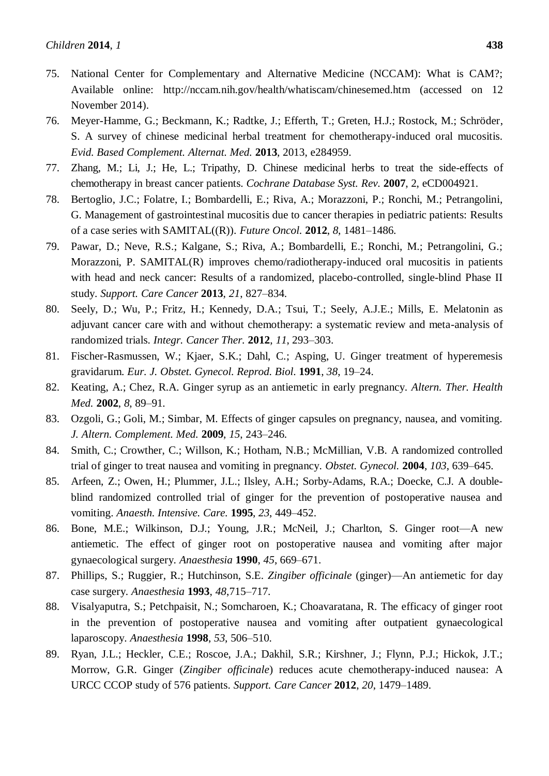- 75. National Center for Complementary and Alternative Medicine (NCCAM): What is CAM?; Available online: http://nccam.nih.gov/health/whatiscam/chinesemed.htm (accessed on 12 November 2014).
- 76. Meyer-Hamme, G.; Beckmann, K.; Radtke, J.; Efferth, T.; Greten, H.J.; Rostock, M.; Schröder, S. A survey of chinese medicinal herbal treatment for chemotherapy-induced oral mucositis. *Evid. Based Complement. Alternat. Med.* **2013**, 2013, e284959.
- 77. Zhang, M.; Li, J.; He, L.; Tripathy, D. Chinese medicinal herbs to treat the side-effects of chemotherapy in breast cancer patients. *Cochrane Database Syst. Rev.* **2007**, 2, eCD004921.
- 78. Bertoglio, J.C.; Folatre, I.; Bombardelli, E.; Riva, A.; Morazzoni, P.; Ronchi, M.; Petrangolini, G. Management of gastrointestinal mucositis due to cancer therapies in pediatric patients: Results of a case series with SAMITAL((R)). *Future Oncol.* **2012**, *8*, 1481–1486.
- 79. Pawar, D.; Neve, R.S.; Kalgane, S.; Riva, A.; Bombardelli, E.; Ronchi, M.; Petrangolini, G.; Morazzoni, P. SAMITAL(R) improves chemo/radiotherapy-induced oral mucositis in patients with head and neck cancer: Results of a randomized, placebo-controlled, single-blind Phase II study. *Support. Care Cancer* **2013**, *21*, 827–834.
- 80. Seely, D.; Wu, P.; Fritz, H.; Kennedy, D.A.; Tsui, T.; Seely, A.J.E.; Mills, E. Melatonin as adjuvant cancer care with and without chemotherapy: a systematic review and meta-analysis of randomized trials. *Integr. Cancer Ther.* **2012**, *11*, 293–303.
- 81. Fischer-Rasmussen, W.; Kjaer, S.K.; Dahl, C.; Asping, U. Ginger treatment of hyperemesis gravidarum. *Eur. J. Obstet. Gynecol. Reprod. Biol.* **1991**, *38*, 19–24.
- 82. Keating, A.; Chez, R.A. Ginger syrup as an antiemetic in early pregnancy. *Altern. Ther. Health Med.* **2002**, *8*, 89–91.
- 83. Ozgoli, G.; Goli, M.; Simbar, M. Effects of ginger capsules on pregnancy, nausea, and vomiting. *J. Altern. Complement. Med.* **2009**, *15*, 243–246.
- 84. Smith, C.; Crowther, C.; Willson, K.; Hotham, N.B.; McMillian, V.B. A randomized controlled trial of ginger to treat nausea and vomiting in pregnancy. *Obstet. Gynecol.* **2004**, *103*, 639–645.
- 85. Arfeen, Z.; Owen, H.; Plummer, J.L.; Ilsley, A.H.; Sorby-Adams, R.A.; Doecke, C.J. A doubleblind randomized controlled trial of ginger for the prevention of postoperative nausea and vomiting. *Anaesth. Intensive. Care.* **1995**, *23*, 449–452.
- 86. Bone, M.E.; Wilkinson, D.J.; Young, J.R.; McNeil, J.; Charlton, S. Ginger root—A new antiemetic. The effect of ginger root on postoperative nausea and vomiting after major gynaecological surgery. *Anaesthesia* **1990**, *45*, 669–671.
- 87. Phillips, S.; Ruggier, R.; Hutchinson, S.E. *Zingiber officinale* (ginger)—An antiemetic for day case surgery. *Anaesthesia* **1993**, *48*,715–717.
- 88. Visalyaputra, S.; Petchpaisit, N.; Somcharoen, K.; Choavaratana, R. The efficacy of ginger root in the prevention of postoperative nausea and vomiting after outpatient gynaecological laparoscopy. *Anaesthesia* **1998**, *53*, 506–510.
- 89. Ryan, J.L.; Heckler, C.E.; Roscoe, J.A.; Dakhil, S.R.; Kirshner, J.; Flynn, P.J.; Hickok, J.T.; Morrow, G.R. Ginger (*Zingiber officinale*) reduces acute chemotherapy-induced nausea: A URCC CCOP study of 576 patients. *Support. Care Cancer* **2012**, *20*, 1479–1489.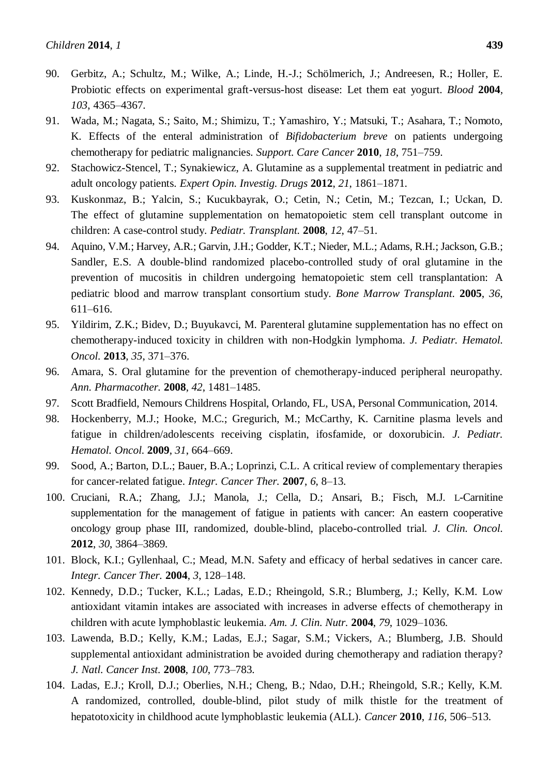- 90. Gerbitz, A.; Schultz, M.; Wilke, A.; Linde, H.-J.; Schölmerich, J.; Andreesen, R.; Holler, E. Probiotic effects on experimental graft-versus-host disease: Let them eat yogurt. *Blood* **2004**, *103*, 4365–4367.
- 91. Wada, M.; Nagata, S.; Saito, M.; Shimizu, T.; Yamashiro, Y.; Matsuki, T.; Asahara, T.; Nomoto, K. Effects of the enteral administration of *Bifidobacterium breve* on patients undergoing chemotherapy for pediatric malignancies. *Support. Care Cancer* **2010**, *18*, 751–759.
- 92. Stachowicz-Stencel, T.; Synakiewicz, A. Glutamine as a supplemental treatment in pediatric and adult oncology patients. *Expert Opin. Investig. Drugs* **2012**, *21*, 1861–1871.
- 93. Kuskonmaz, B.; Yalcin, S.; Kucukbayrak, O.; Cetin, N.; Cetin, M.; Tezcan, I.; Uckan, D. The effect of glutamine supplementation on hematopoietic stem cell transplant outcome in children: A case-control study. *Pediatr. Transplant.* **2008**, *12*, 47–51.
- 94. Aquino, V.M.; Harvey, A.R.; Garvin, J.H.; Godder, K.T.; Nieder, M.L.; Adams, R.H.; Jackson, G.B.; Sandler, E.S. A double-blind randomized placebo-controlled study of oral glutamine in the prevention of mucositis in children undergoing hematopoietic stem cell transplantation: A pediatric blood and marrow transplant consortium study. *Bone Marrow Transplant.* **2005**, *36*, 611–616.
- 95. Yildirim, Z.K.; Bidev, D.; Buyukavci, M. Parenteral glutamine supplementation has no effect on chemotherapy-induced toxicity in children with non-Hodgkin lymphoma. *J. Pediatr. Hematol. Oncol.* **2013**, *35*, 371–376.
- 96. Amara, S. Oral glutamine for the prevention of chemotherapy-induced peripheral neuropathy. *Ann. Pharmacother.* **2008**, *42*, 1481–1485.
- 97. Scott Bradfield, Nemours Childrens Hospital, Orlando, FL, USA, Personal Communication, 2014.
- 98. Hockenberry, M.J.; Hooke, M.C.; Gregurich, M.; McCarthy, K. Carnitine plasma levels and fatigue in children/adolescents receiving cisplatin, ifosfamide, or doxorubicin. *J. Pediatr. Hematol. Oncol.* **2009**, *31*, 664–669.
- 99. Sood, A.; Barton, D.L.; Bauer, B.A.; Loprinzi, C.L. A critical review of complementary therapies for cancer-related fatigue. *Integr. Cancer Ther.* **2007**, *6*, 8–13.
- 100. Cruciani, R.A.; Zhang, J.J.; Manola, J.; Cella, D.; Ansari, B.; Fisch, M.J. L-Carnitine supplementation for the management of fatigue in patients with cancer: An eastern cooperative oncology group phase III, randomized, double-blind, placebo-controlled trial. *J. Clin. Oncol.* **2012**, *30*, 3864–3869.
- 101. Block, K.I.; Gyllenhaal, C.; Mead, M.N. Safety and efficacy of herbal sedatives in cancer care. *Integr. Cancer Ther.* **2004**, *3*, 128–148.
- 102. Kennedy, D.D.; Tucker, K.L.; Ladas, E.D.; Rheingold, S.R.; Blumberg, J.; Kelly, K.M. Low antioxidant vitamin intakes are associated with increases in adverse effects of chemotherapy in children with acute lymphoblastic leukemia. *Am. J. Clin. Nutr.* **2004**, *79*, 1029–1036.
- 103. Lawenda, B.D.; Kelly, K.M.; Ladas, E.J.; Sagar, S.M.; Vickers, A.; Blumberg, J.B. Should supplemental antioxidant administration be avoided during chemotherapy and radiation therapy? *J. Natl. Cancer Inst.* **2008**, *100*, 773–783.
- 104. Ladas, E.J.; Kroll, D.J.; Oberlies, N.H.; Cheng, B.; Ndao, D.H.; Rheingold, S.R.; Kelly, K.M. A randomized, controlled, double-blind, pilot study of milk thistle for the treatment of hepatotoxicity in childhood acute lymphoblastic leukemia (ALL). *Cancer* **2010**, *116*, 506–513.